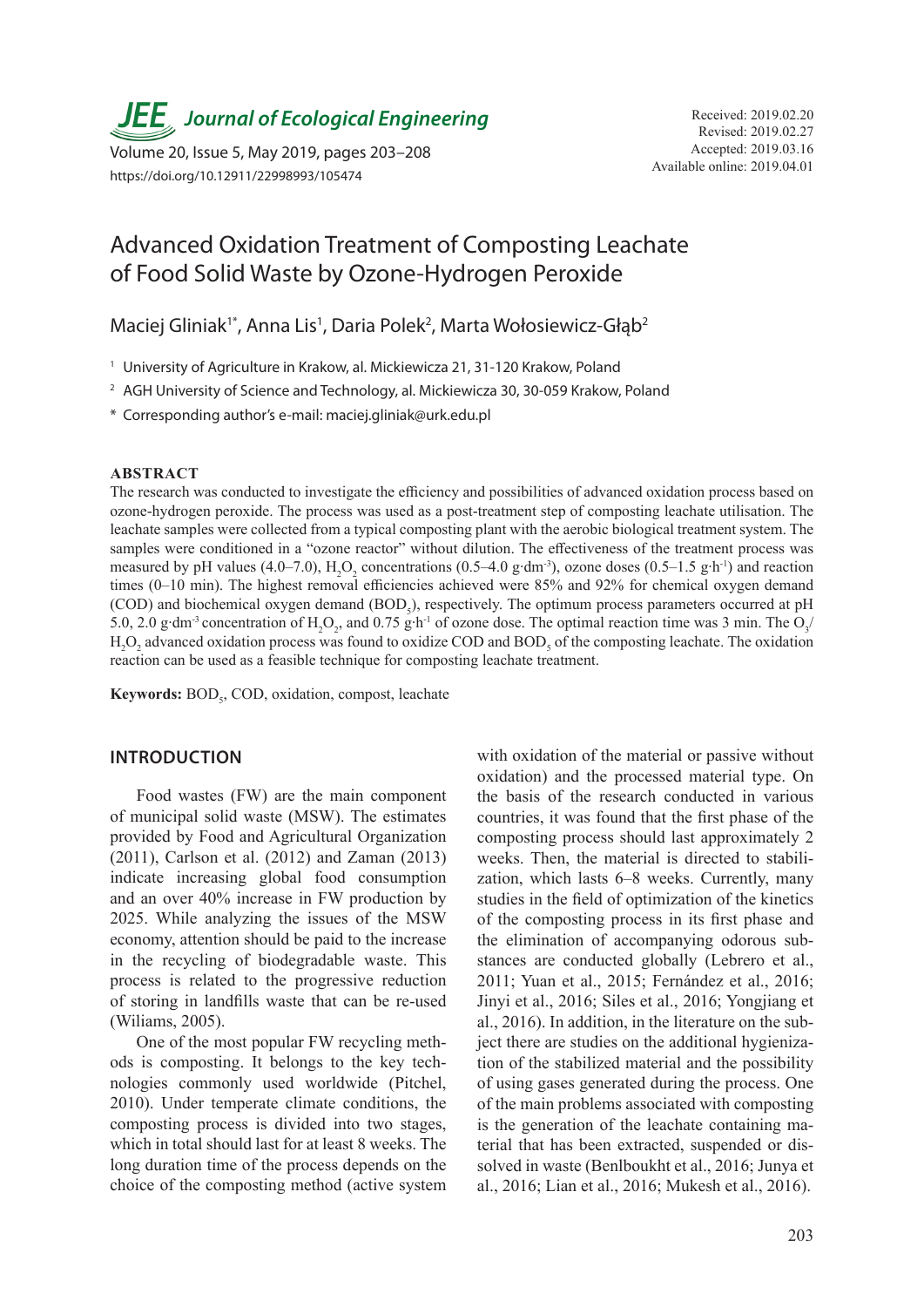**JEE** Journal of Ecological Engineering Received: 2019.02.20

Available online: 2019.04.01 Volume 20, Issue 5, May 2019, pages 203–208 https://doi.org/10.12911/22998993/105474

# Advanced Oxidation Treatment of Composting Leachate of Food Solid Waste by Ozone-Hydrogen Peroxide

Maciej Gliniak<sup>1\*</sup>, Anna Lis<sup>1</sup>, Daria Polek<sup>2</sup>, Marta Wołosiewicz-Głąb<sup>2</sup>

<sup>1</sup> University of Agriculture in Krakow, al. Mickiewicza 21, 31-120 Krakow, Poland

<sup>2</sup> AGH University of Science and Technology, al. Mickiewicza 30, 30-059 Krakow, Poland

\* Corresponding author's e-mail: maciej.gliniak@urk.edu.pl

## **ABSTRACT**

The research was conducted to investigate the efficiency and possibilities of advanced oxidation process based on ozone-hydrogen peroxide. The process was used as a post-treatment step of composting leachate utilisation. The leachate samples were collected from a typical composting plant with the aerobic biological treatment system. The samples were conditioned in a "ozone reactor" without dilution. The effectiveness of the treatment process was measured by pH values (4.0–7.0),  $H_2O_2$  concentrations (0.5–4.0 g⋅dm<sup>-3</sup>), ozone doses (0.5–1.5 g⋅h<sup>-1</sup>) and reaction times (0–10 min). The highest removal efficiencies achieved were 85% and 92% for chemical oxygen demand (COD) and biochemical oxygen demand (BOD<sub>5</sub>), respectively. The optimum process parameters occurred at pH 5.0, 2.0 g⋅dm<sup>-3</sup> concentration of H<sub>2</sub>O<sub>2</sub>, and 0.75 g⋅h<sup>-1</sup> of ozone dose. The optimal reaction time was 3 min. The O<sub>3</sub>/  $H_2O_2$  advanced oxidation process was found to oxidize COD and BOD<sub>5</sub> of the composting leachate. The oxidation reaction can be used as a feasible technique for composting leachate treatment.

**Keywords:** BOD<sub>5</sub>, COD, oxidation, compost, leachate

# **INTRODUCTION**

Food wastes (FW) are the main component of municipal solid waste (MSW). The estimates provided by Food and Agricultural Organization (2011), Carlson et al. (2012) and Zaman (2013) indicate increasing global food consumption and an over 40% increase in FW production by 2025. While analyzing the issues of the MSW economy, attention should be paid to the increase in the recycling of biodegradable waste. This process is related to the progressive reduction of storing in landfills waste that can be re-used (Wiliams, 2005).

One of the most popular FW recycling methods is composting. It belongs to the key technologies commonly used worldwide (Pitchel, 2010). Under temperate climate conditions, the composting process is divided into two stages, which in total should last for at least 8 weeks. The long duration time of the process depends on the choice of the composting method (active system

with oxidation of the material or passive without oxidation) and the processed material type. On the basis of the research conducted in various countries, it was found that the first phase of the composting process should last approximately 2 weeks. Then, the material is directed to stabilization, which lasts 6–8 weeks. Currently, many studies in the field of optimization of the kinetics of the composting process in its first phase and the elimination of accompanying odorous substances are conducted globally (Lebrero et al., 2011; Yuan et al., 2015; Fernández et al., 2016; Jinyi et al., 2016; Siles et al., 2016; Yongjiang et al., 2016). In addition, in the literature on the subject there are studies on the additional hygienization of the stabilized material and the possibility of using gases generated during the process. One of the main problems associated with composting is the generation of the leachate containing material that has been extracted, suspended or dissolved in waste (Benlboukht et al., 2016; Junya et al., 2016; Lian et al., 2016; Mukesh et al., 2016).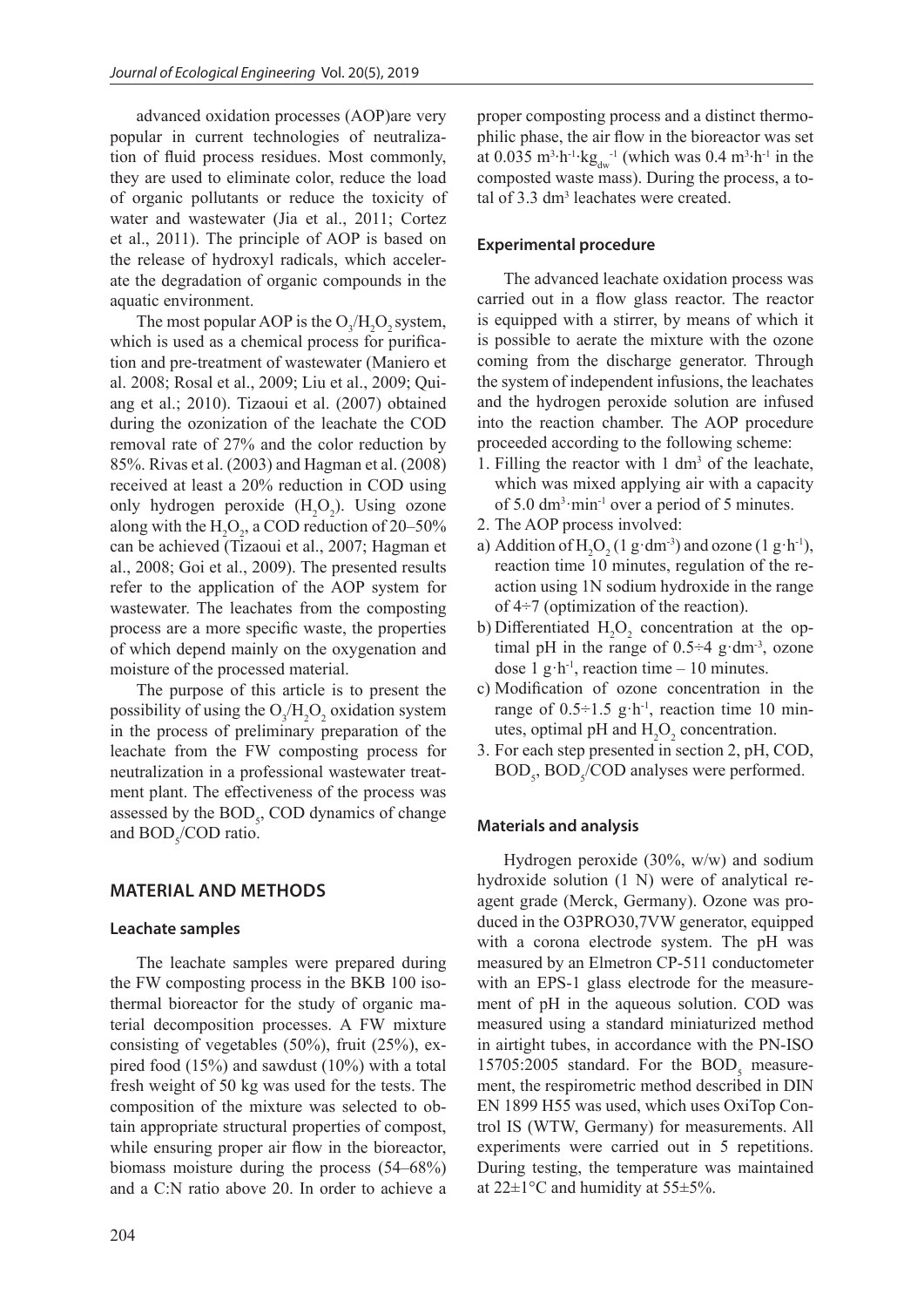advanced oxidation processes (AOP)are very popular in current technologies of neutralization of fluid process residues. Most commonly, they are used to eliminate color, reduce the load of organic pollutants or reduce the toxicity of water and wastewater (Jia et al., 2011; Cortez et al., 2011). The principle of AOP is based on the release of hydroxyl radicals, which accelerate the degradation of organic compounds in the aquatic environment.

The most popular AOP is the  $O_3/H_2O_2$  system, which is used as a chemical process for purification and pre-treatment of wastewater (Maniero et al. 2008; Rosal et al., 2009; Liu et al., 2009; Quiang et al.; 2010). Tizaoui et al. (2007) obtained during the ozonization of the leachate the COD removal rate of 27% and the color reduction by 85%. Rivas et al. (2003) and Hagman et al. (2008) received at least a 20% reduction in COD using only hydrogen peroxide  $(H_2O_2)$ . Using ozone along with the  $H_2O_2$ , a COD reduction of 20–50% can be achieved (Tizaoui et al., 2007; Hagman et al., 2008; Goi et al., 2009). The presented results refer to the application of the AOP system for wastewater. The leachates from the composting process are a more specific waste, the properties of which depend mainly on the oxygenation and moisture of the processed material.

The purpose of this article is to present the possibility of using the  $O_3/H_2O_2$  oxidation system in the process of preliminary preparation of the leachate from the FW composting process for neutralization in a professional wastewater treatment plant. The effectiveness of the process was assessed by the  $BOD<sub>5</sub>$ , COD dynamics of change and  $BOD<sub>5</sub>/COD$  ratio.

# **MATERIAL AND METHODS**

#### **Leachate samples**

The leachate samples were prepared during the FW composting process in the BKB 100 isothermal bioreactor for the study of organic material decomposition processes. A FW mixture consisting of vegetables (50%), fruit (25%), expired food (15%) and sawdust (10%) with a total fresh weight of 50 kg was used for the tests. The composition of the mixture was selected to obtain appropriate structural properties of compost, while ensuring proper air flow in the bioreactor, biomass moisture during the process (54–68%) and a C:N ratio above 20. In order to achieve a

## **Experimental procedure**

The advanced leachate oxidation process was carried out in a flow glass reactor. The reactor is equipped with a stirrer, by means of which it is possible to aerate the mixture with the ozone coming from the discharge generator. Through the system of independent infusions, the leachates and the hydrogen peroxide solution are infused into the reaction chamber. The AOP procedure proceeded according to the following scheme:

- 1. Filling the reactor with  $1 \text{ dm}^3$  of the leachate, which was mixed applying air with a capacity of  $5.0 \text{ dm}^3 \cdot \text{min}^{-1}$  over a period of  $5 \text{ minutes}$ .
- 2. The AOP process involved:
- a) Addition of  $H_2O_2(1 \text{ g}\cdot \text{dm}^3)$  and ozone  $(1 \text{ g}\cdot \text{h}^1)$ , reaction time 10 minutes, regulation of the reaction using 1N sodium hydroxide in the range of 4÷7 (optimization of the reaction).
- b) Differentiated  $H_2O_2$  concentration at the optimal pH in the range of  $0.5 \div 4$  g·dm<sup>-3</sup>, ozone dose 1 g·h<sup>-1</sup>, reaction time – 10 minutes.
- c) Modification of ozone concentration in the range of  $0.5 \div 1.5$  g·h<sup>-1</sup>, reaction time 10 minutes, optimal pH and  $H_2O_2$  concentration.
- 3. For each step presented in section 2, pH, COD,  $BOD<sub>5</sub>$ ,  $BOD<sub>5</sub>/COD$  analyses were performed.

#### **Materials and analysis**

Hydrogen peroxide (30%, w/w) and sodium hydroxide solution (1 N) were of analytical reagent grade (Merck, Germany). Ozone was produced in the O3PRO30,7VW generator, equipped with a corona electrode system. The pH was measured by an Elmetron CP-511 conductometer with an EPS-1 glass electrode for the measurement of pH in the aqueous solution. COD was measured using a standard miniaturized method in airtight tubes, in accordance with the PN-ISO 15705:2005 standard. For the  $BOD<sub>5</sub>$  measurement, the respirometric method described in DIN EN 1899 H55 was used, which uses OxiTop Control IS (WTW, Germany) for measurements. All experiments were carried out in 5 repetitions. During testing, the temperature was maintained at  $22\pm1$ °C and humidity at  $55\pm5%$ .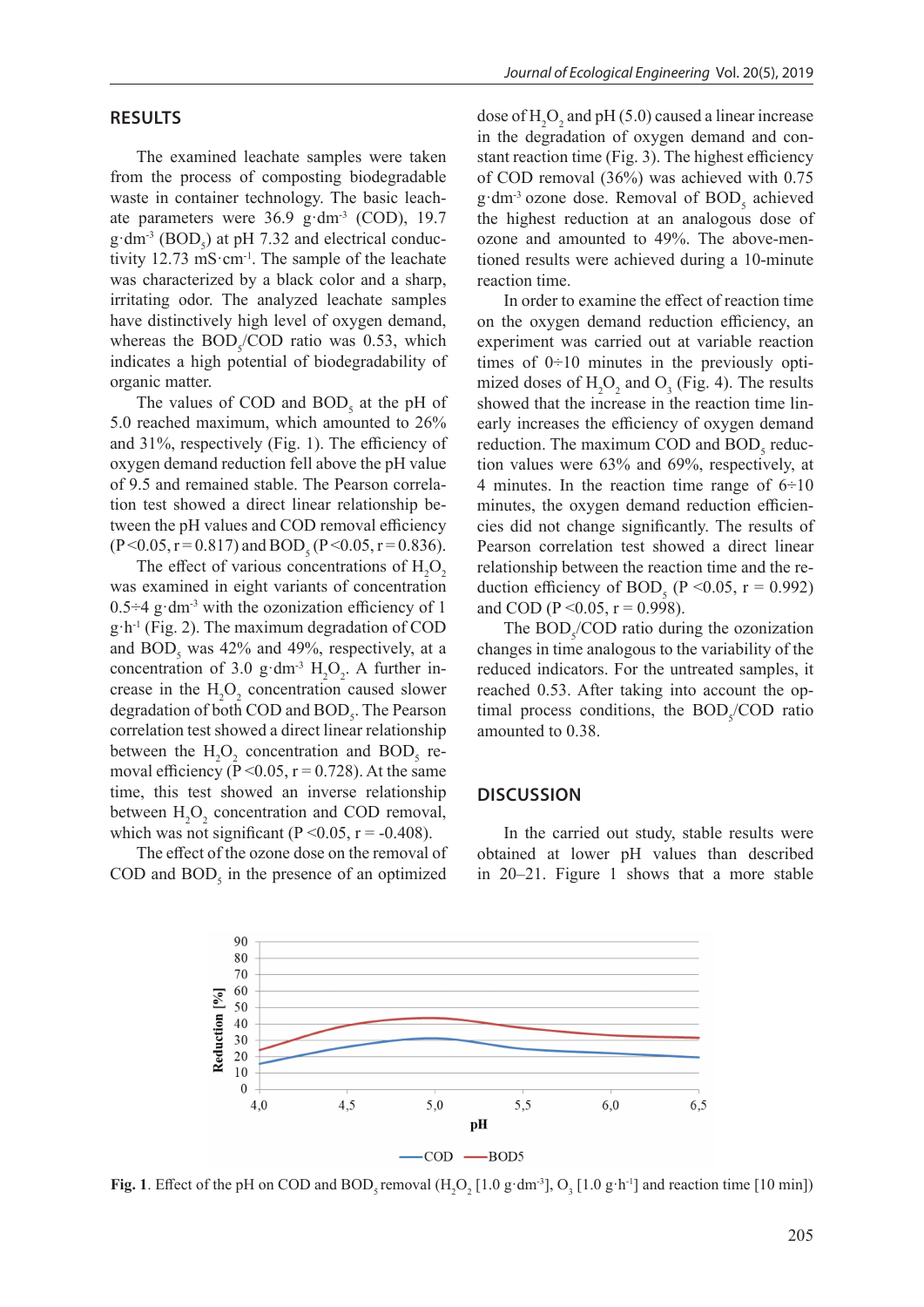The examined leachate samples were taken from the process of composting biodegradable waste in container technology. The basic leachate parameters were 36.9 g·dm<sup>-3</sup> (COD), 19.7  $g \cdot dm^{-3} (BOD_5)$  at pH 7.32 and electrical conductivity 12.73 mS·cm-1. The sample of the leachate was characterized by a black color and a sharp, irritating odor. The analyzed leachate samples have distinctively high level of oxygen demand, whereas the  $BOD<sub>5</sub>/COD$  ratio was 0.53, which indicates a high potential of biodegradability of organic matter.

The values of COD and  $BOD_5$  at the pH of 5.0 reached maximum, which amounted to 26% and 31%, respectively (Fig. 1). The efficiency of oxygen demand reduction fell above the pH value of 9.5 and remained stable. The Pearson correlation test showed a direct linear relationship between the pH values and COD removal efficiency  $(P<0.05, r=0.817)$  and  $BOD_5 (P<0.05, r=0.836)$ .

The effect of various concentrations of  $H_2O_2$ was examined in eight variants of concentration  $0.5\div 4$  g·dm<sup>-3</sup> with the ozonization efficiency of 1  $g \cdot h^{-1}$  (Fig. 2). The maximum degradation of COD and  $BOD_5$  was 42% and 49%, respectively, at a concentration of 3.0 g·dm<sup>-3</sup>  $H_2O_2$ . A further increase in the  $H_2O_2$  concentration caused slower degradation of both COD and  $\text{BOD}_5$ . The Pearson correlation test showed a direct linear relationship between the  $H_2O_2$  concentration and BOD<sub>5</sub> removal efficiency ( $\overline{P}$  < 0.05,  $r$  = 0.728). At the same time, this test showed an inverse relationship between  $H_2O_2$  concentration and COD removal, which was not significant ( $P \le 0.05$ ,  $r = -0.408$ ).

The effect of the ozone dose on the removal of COD and  $BOD_5$  in the presence of an optimized dose of  $H_2O_2$  and pH (5.0) caused a linear increase in the degradation of oxygen demand and constant reaction time (Fig. 3). The highest efficiency of COD removal (36%) was achieved with 0.75  $g \cdot dm^{-3}$  ozone dose. Removal of  $BOD_5$  achieved the highest reduction at an analogous dose of ozone and amounted to 49%. The above-mentioned results were achieved during a 10-minute reaction time.

In order to examine the effect of reaction time on the oxygen demand reduction efficiency, an experiment was carried out at variable reaction times of  $0\ni 10$  minutes in the previously optimized doses of  $H_2O_2$  and  $O_3$  (Fig. 4). The results showed that the increase in the reaction time linearly increases the efficiency of oxygen demand reduction. The maximum COD and  $BOD<sub>5</sub>$  reduction values were 63% and 69%, respectively, at 4 minutes. In the reaction time range of  $6\div 10$ minutes, the oxygen demand reduction efficiencies did not change significantly. The results of Pearson correlation test showed a direct linear relationship between the reaction time and the reduction efficiency of BOD<sub>5</sub> (P < 0.05, r = 0.992) and COD (P < 0.05, r = 0.998).

The  $BOD<sub>5</sub>/COD$  ratio during the ozonization changes in time analogous to the variability of the reduced indicators. For the untreated samples, it reached 0.53. After taking into account the optimal process conditions, the  $BOD<sub>5</sub>/COD$  ratio amounted to 0.38.

# **DISCUSSION**

In the carried out study, stable results were obtained at lower pH values than described in 20–21. Figure 1 shows that a more stable



**Fig. 1**. Effect of the pH on COD and BOD<sub>5</sub> removal  $(H_2O_2[1.0 \text{ g} \cdot \text{dm}^3], O_3[1.0 \text{ g} \cdot \text{h}^{-1}]$  and reaction time [10 min])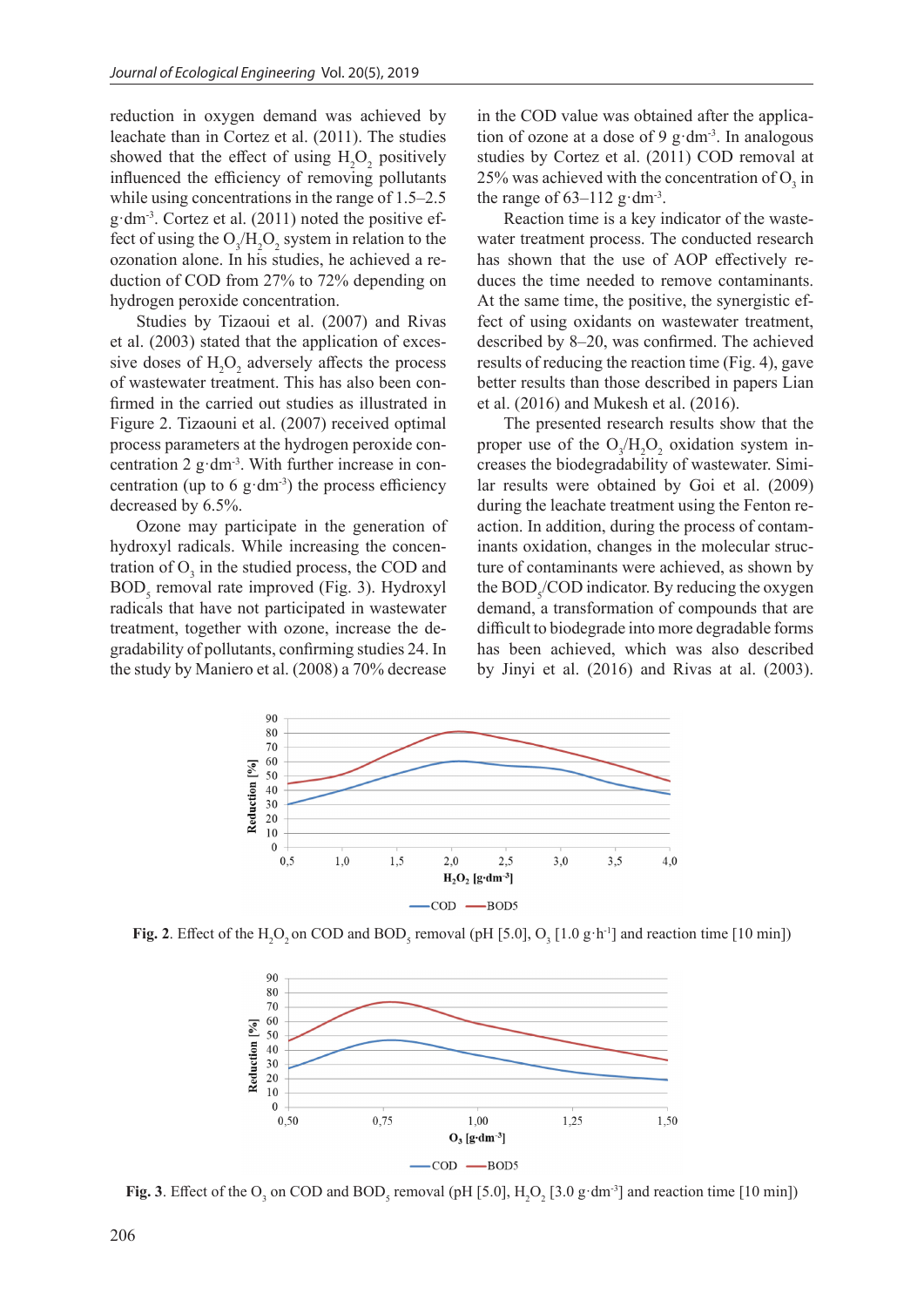reduction in oxygen demand was achieved by leachate than in Cortez et al. (2011). The studies showed that the effect of using  $H_2O_2$  positively influenced the efficiency of removing pollutants while using concentrations in the range of 1.5–2.5 g·dm-3. Cortez et al. (2011) noted the positive effect of using the  $O_3/H_2O_2$  system in relation to the ozonation alone. In his studies, he achieved a reduction of COD from 27% to 72% depending on hydrogen peroxide concentration.

Studies by Tizaoui et al. (2007) and Rivas et al. (2003) stated that the application of excessive doses of  $H_2O_2$  adversely affects the process of wastewater treatment. This has also been confirmed in the carried out studies as illustrated in Figure 2. Tizaouni et al. (2007) received optimal process parameters at the hydrogen peroxide concentration  $2$  g·dm<sup>-3</sup>. With further increase in concentration (up to 6 g·dm<sup>-3</sup>) the process efficiency decreased by 6.5%.

Ozone may participate in the generation of hydroxyl radicals. While increasing the concentration of  $O_3$  in the studied process, the COD and BOD<sub>5</sub> removal rate improved (Fig. 3). Hydroxyl radicals that have not participated in wastewater treatment, together with ozone, increase the degradability of pollutants, confirming studies 24. In the study by Maniero et al. (2008) a 70% decrease

in the COD value was obtained after the application of ozone at a dose of 9  $g$ ·dm<sup>-3</sup>. In analogous studies by Cortez et al. (2011) COD removal at 25% was achieved with the concentration of  $O_3$  in the range of  $63-112$  g·dm<sup>-3</sup>.

Reaction time is a key indicator of the wastewater treatment process. The conducted research has shown that the use of AOP effectively reduces the time needed to remove contaminants. At the same time, the positive, the synergistic effect of using oxidants on wastewater treatment, described by 8–20, was confirmed. The achieved results of reducing the reaction time (Fig. 4), gave better results than those described in papers Lian et al. (2016) and Mukesh et al. (2016).

The presented research results show that the proper use of the  $O_3/H_2O_2$  oxidation system increases the biodegradability of wastewater. Similar results were obtained by Goi et al. (2009) during the leachate treatment using the Fenton reaction. In addition, during the process of contaminants oxidation, changes in the molecular structure of contaminants were achieved, as shown by the  $\text{BOD}_s/\text{COD}$  indicator. By reducing the oxygen demand, a transformation of compounds that are difficult to biodegrade into more degradable forms has been achieved, which was also described by Jinyi et al. (2016) and Rivas at al. (2003).



**Fig. 2**. Effect of the H<sub>2</sub>O<sub>2</sub> on COD and BOD<sub>5</sub> removal (pH [5.0], O<sub>3</sub> [1.0 g·h<sup>-1</sup>] and reaction time [10 min])



**Fig. 3**. Effect of the O<sub>3</sub> on COD and BOD<sub>5</sub> removal (pH [5.0],  $H_2O_2$  [3.0 g·dm<sup>-3</sup>] and reaction time [10 min])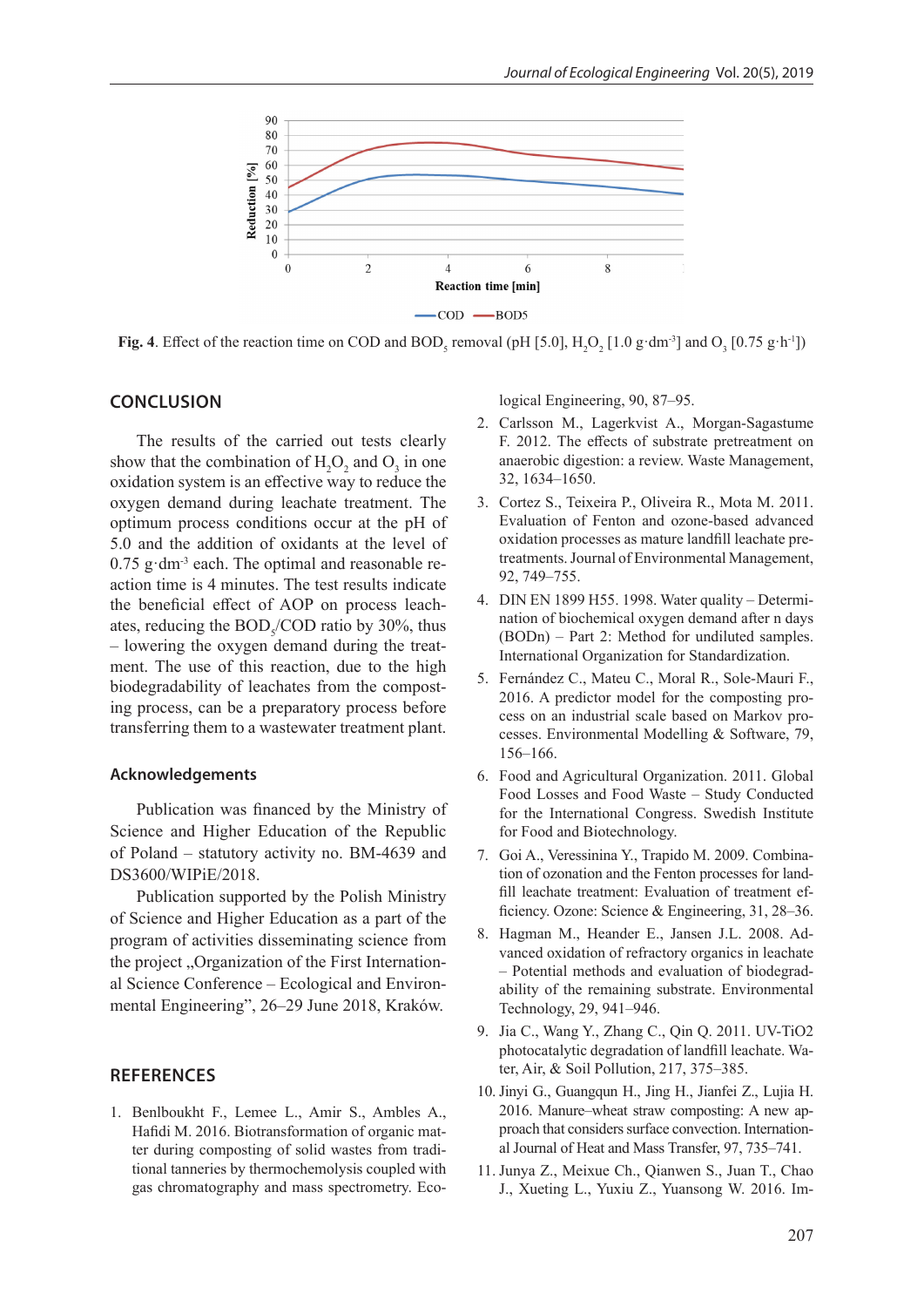

**Fig. 4**. Effect of the reaction time on COD and BOD<sub>5</sub> removal (pH [5.0],  $H_2O_2$  [1.0 g·dm<sup>-3</sup>] and  $O_3$  [0.75 g·h<sup>-1</sup>])

## **CONCLUSION**

The results of the carried out tests clearly show that the combination of  $H_2O_2$  and  $O_3$  in one oxidation system is an effective way to reduce the oxygen demand during leachate treatment. The optimum process conditions occur at the pH of 5.0 and the addition of oxidants at the level of  $0.75$  g·dm<sup>-3</sup> each. The optimal and reasonable reaction time is 4 minutes. The test results indicate the beneficial effect of AOP on process leachates, reducing the  $BOD<sub>5</sub>/COD$  ratio by 30%, thus – lowering the oxygen demand during the treatment. The use of this reaction, due to the high biodegradability of leachates from the composting process, can be a preparatory process before transferring them to a wastewater treatment plant.

## **Acknowledgements**

Publication was financed by the Ministry of Science and Higher Education of the Republic of Poland – statutory activity no. BM-4639 and DS3600/WIPiE/2018.

Publication supported by the Polish Ministry of Science and Higher Education as a part of the program of activities disseminating science from the project . Organization of the First International Science Conference – Ecological and Environmental Engineering", 26–29 June 2018, Kraków.

## **REFERENCES**

1. Benlboukht F., Lemee L., Amir S., Ambles A., Hafidi M. 2016. Biotransformation of organic matter during composting of solid wastes from traditional tanneries by thermochemolysis coupled with gas chromatography and mass spectrometry. Ecological Engineering, 90, 87–95.

- 2. Carlsson M., Lagerkvist A., Morgan-Sagastume F. 2012. The effects of substrate pretreatment on anaerobic digestion: a review. Waste Management, 32, 1634–1650.
- 3. Cortez S., Teixeira P., Oliveira R., Mota M. 2011. Evaluation of Fenton and ozone-based advanced oxidation processes as mature landfill leachate pretreatments. Journal of Environmental Management, 92, 749–755.
- 4. DIN EN 1899 H55. 1998. Water quality Determination of biochemical oxygen demand after n days (BODn) – Part 2: Method for undiluted samples. International Organization for Standardization.
- 5. Fernández C., Mateu C., Moral R., Sole-Mauri F., 2016. A predictor model for the composting process on an industrial scale based on Markov processes. Environmental Modelling & Software, 79, 156–166.
- 6. Food and Agricultural Organization. 2011. Global Food Losses and Food Waste – Study Conducted for the International Congress. Swedish Institute for Food and Biotechnology.
- 7. Goi A., Veressinina Y., Trapido M. 2009. Combination of ozonation and the Fenton processes for landfill leachate treatment: Evaluation of treatment efficiency. Ozone: Science & Engineering, 31, 28–36.
- 8. Hagman M., Heander E., Jansen J.L. 2008. Advanced oxidation of refractory organics in leachate – Potential methods and evaluation of biodegradability of the remaining substrate. Environmental Technology, 29, 941–946.
- 9. Jia C., Wang Y., Zhang C., Qin Q. 2011. UV-TiO2 photocatalytic degradation of landfill leachate. Water, Air, & Soil Pollution, 217, 375–385.
- 10. Jinyi G., Guangqun H., Jing H., Jianfei Z., Lujia H. 2016. Manure–wheat straw composting: A new approach that considers surface convection. International Journal of Heat and Mass Transfer, 97, 735–741.
- 11. Junya Z., Meixue Ch., Qianwen S., Juan T., Chao J., Xueting L., Yuxiu Z., Yuansong W. 2016. Im-